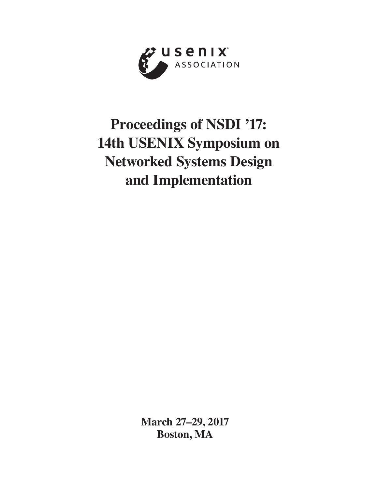

# **Proceedings of NSDI '17: 14th USENIX Symposium on Networked Systems Design and Implementation**

**March 27–29, 2017 Boston, MA**